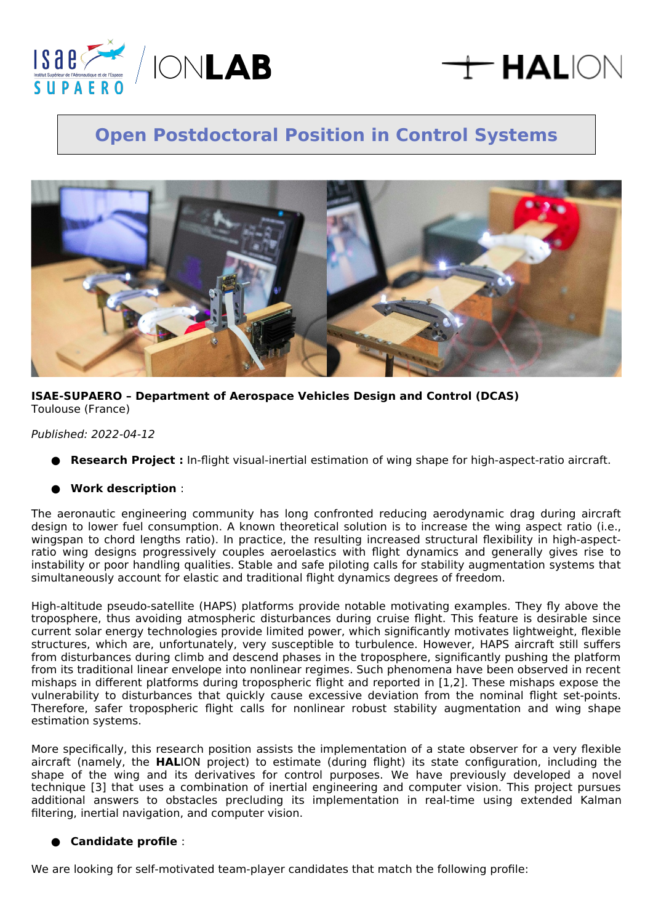

# $\pm$  HALION

# **Open Postdoctoral Position in Control Systems**



# **ISAE-SUPAERO – Department of Aerospace Vehicles Design and Control (DCAS)** Toulouse (France)

# Published: 2022-04-12

**Research Project :** In-flight visual-inertial estimation of wing shape for high-aspect-ratio aircraft.

# ● **Work description** :

The aeronautic engineering community has long confronted reducing aerodynamic drag during aircraft design to lower fuel consumption. A known theoretical solution is to increase the wing aspect ratio (i.e., wingspan to chord lengths ratio). In practice, the resulting increased structural flexibility in high-aspectratio wing designs progressively couples aeroelastics with flight dynamics and generally gives rise to instability or poor handling qualities. Stable and safe piloting calls for stability augmentation systems that simultaneously account for elastic and traditional flight dynamics degrees of freedom.

High-altitude pseudo-satellite (HAPS) platforms provide notable motivating examples. They fly above the troposphere, thus avoiding atmospheric disturbances during cruise flight. This feature is desirable since current solar energy technologies provide limited power, which significantly motivates lightweight, flexible structures, which are, unfortunately, very susceptible to turbulence. However, HAPS aircraft still suffers from disturbances during climb and descend phases in the troposphere, significantly pushing the platform from its traditional linear envelope into nonlinear regimes. Such phenomena have been observed in recent mishaps in different platforms during tropospheric flight and reported in [1,2]. These mishaps expose the vulnerability to disturbances that quickly cause excessive deviation from the nominal flight set-points. Therefore, safer tropospheric flight calls for nonlinear robust stability augmentation and wing shape estimation systems.

More specifically, this research position assists the implementation of a state observer for a very flexible aircraft (namely, the **HAL**ION project) to estimate (during flight) its state configuration, including the shape of the wing and its derivatives for control purposes. We have previously developed a novel technique [3] that uses a combination of inertial engineering and computer vision. This project pursues additional answers to obstacles precluding its implementation in real-time using extended Kalman filtering, inertial navigation, and computer vision.

# ● **Candidate profile** :

We are looking for self-motivated team-player candidates that match the following profile: